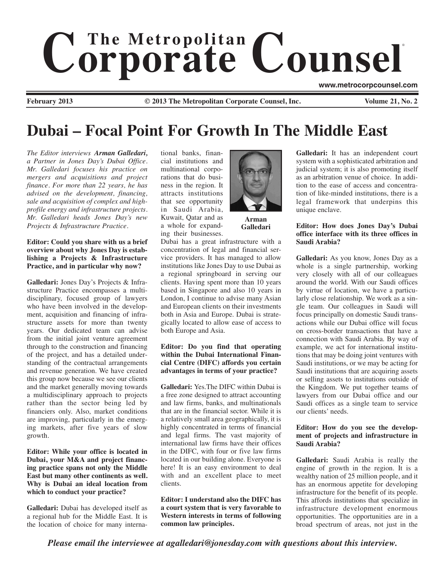# $$ ®

**www.metrocorpcounsel.com**

**February 2013 © 2013 The Metropolitan Corporate Counsel, Inc. Volume 21, No. 2**

# **Dubai – Focal Point For Growth In The Middle East**

*The Editor interviews Arman Galledari, a Partner in Jones Day's Dubai Office. Mr. Galledari focuses his practice on mergers and acquisitions and project finance. For more than 22 years, he has advised on the development, financing, sale and acquisition of complex and highprofile energy and infrastructure projects. Mr. Galledari heads Jones Day's new Projects & Infrastructure Practice.*

#### **Editor: Could you share with us a brief overview about why Jones Day is establishing a Projects & Infrastructure Practice, and in particular why now?**

**Galledari:** Jones Day's Projects & Infrastructure Practice encompasses a multidisciplinary, focused group of lawyers who have been involved in the development, acquisition and financing of infrastructure assets for more than twenty years. Our dedicated team can advise from the initial joint venture agreement through to the construction and financing of the project, and has a detailed understanding of the contractual arrangements and revenue generation. We have created this group now because we see our clients and the market generally moving towards a multidisciplinary approach to projects rather than the sector being led by financiers only. Also, market conditions are improving, particularly in the emerging markets, after five years of slow growth*.*

**Editor: While your office is located in Dubai, your M&A and project financing practice spans not only the Middle East but many other continents as well. Why is Dubai an ideal location from which to conduct your practice?** 

**Galledari:** Dubai has developed itself as a regional hub for the Middle East. It is the location of choice for many international banks, financial institutions and multinational corporations that do business in the region. It attracts institutions that see opportunity in Saudi Arabia, Kuwait, Qatar and as a whole for expand-

ing their businesses.



**Arman Galledari**

Dubai has a great infrastructure with a concentration of legal and financial service providers. It has managed to allow institutions like Jones Day to use Dubai as a regional springboard in serving our clients. Having spent more than 10 years based in Singapore and also 10 years in London, I continue to advise many Asian and European clients on their investments both in Asia and Europe. Dubai is strategically located to allow ease of access to both Europe and Asia.

# **Editor: Do you find that operating within the Dubai International Financial Centre (DIFC) affords you certain advantages in terms of your practice?**

**Galledari:** Yes.The DIFC within Dubai is a free zone designed to attract accounting and law firms, banks, and multinationals that are in the financial sector. While it is a relatively small area geographically, it is highly concentrated in terms of financial and legal firms. The vast majority of international law firms have their offices in the DIFC, with four or five law firms located in our building alone. Everyone is here! It is an easy environment to deal with and an excellent place to meet clients.

**Editor: I understand also the DIFC has a court system that is very favorable to Western interests in terms of following common law principles.**

**Galledari:** It has an independent court system with a sophisticated arbitration and judicial system; it is also promoting itself as an arbitration venue of choice. In addition to the ease of access and concentration of like-minded institutions, there is a legal framework that underpins this unique enclave.

# **Editor: How does Jones Day's Dubai office interface with its three offices in Saudi Arabia?**

**Galledari:** As you know, Jones Day as a whole is a single partnership, working very closely with all of our colleagues around the world. With our Saudi offices by virtue of location, we have a particularly close relationship. We work as a single team. Our colleagues in Saudi will focus principally on domestic Saudi transactions while our Dubai office will focus on cross-border transactions that have a connection with Saudi Arabia. By way of example, we act for international institutions that may be doing joint ventures with Saudi institutions, or we may be acting for Saudi institutions that are acquiring assets or selling assets to institutions outside of the Kingdom. We put together teams of lawyers from our Dubai office and our Saudi offices as a single team to service our clients' needs.

# **Editor: How do you see the development of projects and infrastructure in Saudi Arabia?**

**Galledari:** Saudi Arabia is really the engine of growth in the region. It is a wealthy nation of 25 million people, and it has an enormous appetite for developing infrastructure for the benefit of its people. This affords institutions that specialize in infrastructure development enormous opportunities. The opportunities are in a broad spectrum of areas, not just in the

*Please email the interviewee at agalledari@jonesday.com with questions about this interview.*